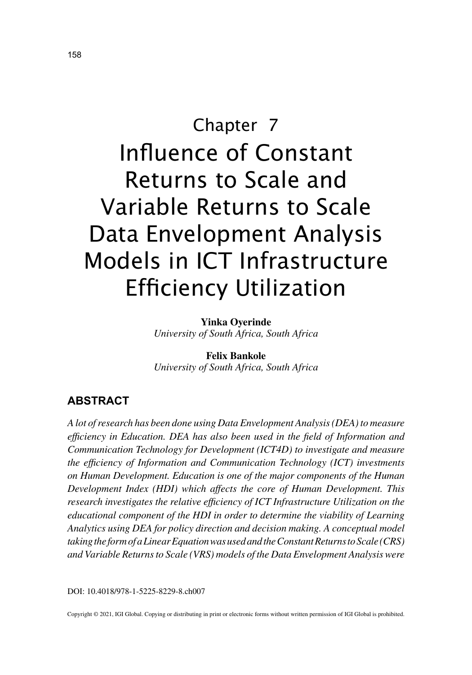# Chapter 7 Influence of Constant Returns to Scale and Variable Returns to Scale Data Envelopment Analysis Models in ICT Infrastructure Efficiency Utilization

**Yinka Oyerinde** *University of South Africa, South Africa*

**Felix Bankole** *University of South Africa, South Africa*

## **ABSTRACT**

*A lot of research has been done using Data Envelopment Analysis (DEA) to measure efficiency in Education. DEA has also been used in the field of Information and Communication Technology for Development (ICT4D) to investigate and measure the efficiency of Information and Communication Technology (ICT) investments on Human Development. Education is one of the major components of the Human Development Index (HDI) which affects the core of Human Development. This research investigates the relative efficiency of ICT Infrastructure Utilization on the educational component of the HDI in order to determine the viability of Learning Analytics using DEA for policy direction and decision making. A conceptual model taking the form of a Linear Equation was used and the Constant Returns to Scale (CRS) and Variable Returns to Scale (VRS) models of the Data Envelopment Analysis were* 

DOI: 10.4018/978-1-5225-8229-8.ch007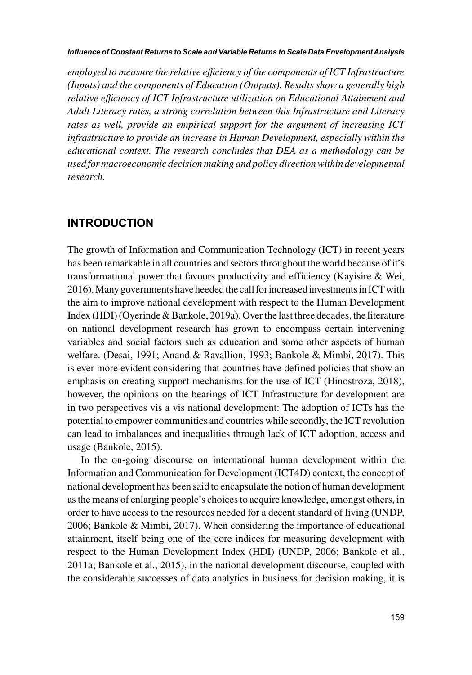#### *Influence of Constant Returns to Scale and Variable Returns to Scale Data Envelopment Analysis*

*employed to measure the relative efficiency of the components of ICT Infrastructure (Inputs) and the components of Education (Outputs). Results show a generally high relative efficiency of ICT Infrastructure utilization on Educational Attainment and Adult Literacy rates, a strong correlation between this Infrastructure and Literacy rates as well, provide an empirical support for the argument of increasing ICT infrastructure to provide an increase in Human Development, especially within the educational context. The research concludes that DEA as a methodology can be used for macroeconomic decision making and policy direction within developmental research.*

## **INTRODUCTION**

The growth of Information and Communication Technology (ICT) in recent years has been remarkable in all countries and sectors throughout the world because of it's transformational power that favours productivity and efficiency (Kayisire & Wei, 2016). Many governments have heeded the call for increased investments in ICT with the aim to improve national development with respect to the Human Development Index (HDI) (Oyerinde & Bankole, 2019a). Over the last three decades, the literature on national development research has grown to encompass certain intervening variables and social factors such as education and some other aspects of human welfare. (Desai, 1991; Anand & Ravallion, 1993; Bankole & Mimbi, 2017). This is ever more evident considering that countries have defined policies that show an emphasis on creating support mechanisms for the use of ICT (Hinostroza, 2018), however, the opinions on the bearings of ICT Infrastructure for development are in two perspectives vis a vis national development: The adoption of ICTs has the potential to empower communities and countries while secondly, the ICT revolution can lead to imbalances and inequalities through lack of ICT adoption, access and usage (Bankole, 2015).

In the on-going discourse on international human development within the Information and Communication for Development (ICT4D) context, the concept of national development has been said to encapsulate the notion of human development as the means of enlarging people's choices to acquire knowledge, amongst others, in order to have access to the resources needed for a decent standard of living (UNDP, 2006; Bankole & Mimbi, 2017). When considering the importance of educational attainment, itself being one of the core indices for measuring development with respect to the Human Development Index (HDI) (UNDP, 2006; Bankole et al., 2011a; Bankole et al., 2015), in the national development discourse, coupled with the considerable successes of data analytics in business for decision making, it is